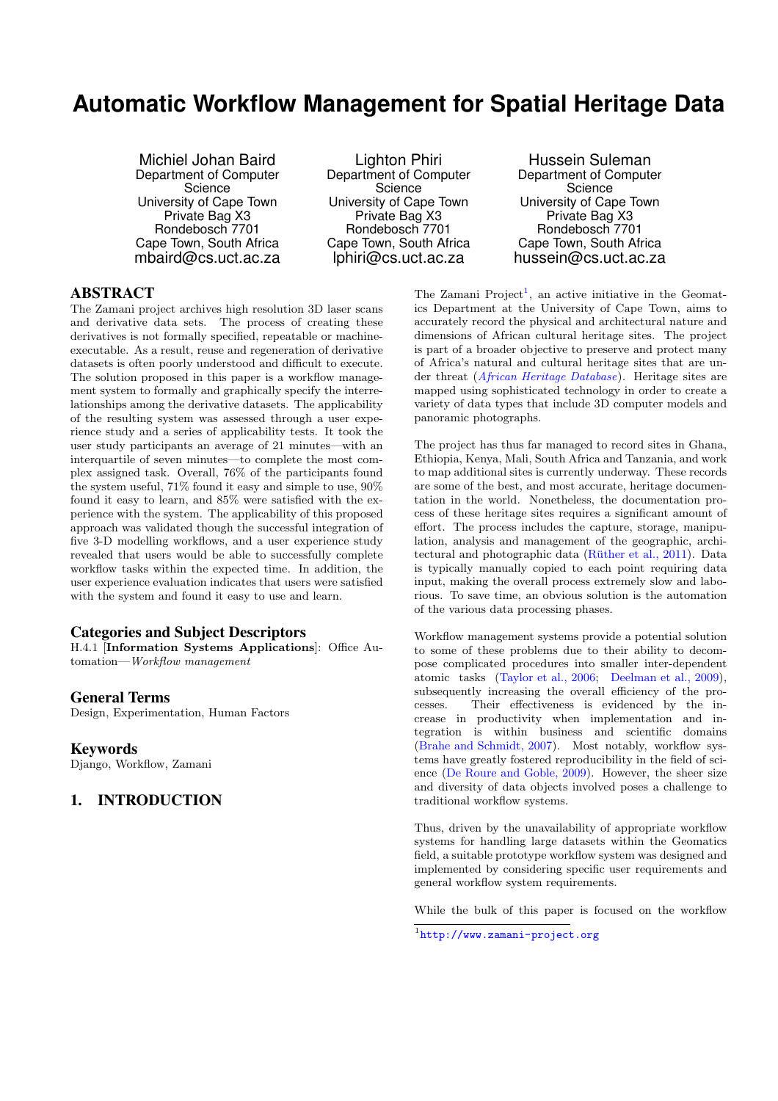# **Automatic Workflow Management for Spatial Heritage Data**

Michiel Johan Baird Department of Computer **Science** University of Cape Town Private Bag X3 Rondebosch 7701 Cape Town, South Africa mbaird@cs.uct.ac.za

Lighton Phiri Department of Computer **Science** University of Cape Town Private Bag X3 Rondebosch 7701 Cape Town, South Africa lphiri@cs.uct.ac.za

Hussein Suleman Department of Computer **Science** University of Cape Town Private Bag X3 Rondebosch 7701 Cape Town, South Africa hussein@cs.uct.ac.za

# ABSTRACT

The Zamani project archives high resolution 3D laser scans and derivative data sets. The process of creating these derivatives is not formally specified, repeatable or machineexecutable. As a result, reuse and regeneration of derivative datasets is often poorly understood and difficult to execute. The solution proposed in this paper is a workflow management system to formally and graphically specify the interrelationships among the derivative datasets. The applicability of the resulting system was assessed through a user experience study and a series of applicability tests. It took the user study participants an average of 21 minutes—with an interquartile of seven minutes—to complete the most complex assigned task. Overall, 76% of the participants found the system useful, 71% found it easy and simple to use, 90% found it easy to learn, and 85% were satisfied with the experience with the system. The applicability of this proposed approach was validated though the successful integration of five 3-D modelling workflows, and a user experience study revealed that users would be able to successfully complete workflow tasks within the expected time. In addition, the user experience evaluation indicates that users were satisfied with the system and found it easy to use and learn.

### Categories and Subject Descriptors

H.4.1 [Information Systems Applications]: Office Automation—*Workflow management*

### General Terms

Design, Experimentation, Human Factors

### Keywords

Django, Workflow, Zamani

# 1. INTRODUCTION

The Zamani  $Project<sup>1</sup>$ , an active initiative in the Geomatics Department at the University of Cape Town, aims to accurately record the physical and architectural nature and dimensions of African cultural heritage sites. The project is part of a broader objective to preserve and protect many of Africa's natural and cultural heritage sites that are under threat (*[African Heritage Database](#page-7-0)*). Heritage sites are mapped using sophisticated technology in order to create a variety of data types that include 3D computer models and panoramic photographs.

The project has thus far managed to record sites in Ghana, Ethiopia, Kenya, Mali, South Africa and Tanzania, and work to map additional sites is currently underway. These records are some of the best, and most accurate, heritage documentation in the world. Nonetheless, the documentation process of these heritage sites requires a significant amount of effort. The process includes the capture, storage, manipulation, analysis and management of the geographic, architectural and photographic data (Rüther et al.,  $2011$ ). Data is typically manually copied to each point requiring data input, making the overall process extremely slow and laborious. To save time, an obvious solution is the automation of the various data processing phases.

Workflow management systems provide a potential solution to some of these problems due to their ability to decompose complicated procedures into smaller inter-dependent atomic tasks [\(Taylor et al., 2006](#page-7-0); [Deelman et al., 2009\)](#page-7-0), subsequently increasing the overall efficiency of the processes. Their effectiveness is evidenced by the increase in productivity when implementation and integration is within business and scientific domains [\(Brahe and Schmidt, 2007](#page-6-0)). Most notably, workflow systems have greatly fostered reproducibility in the field of science [\(De Roure and Goble, 2009](#page-7-0)). However, the sheer size and diversity of data objects involved poses a challenge to traditional workflow systems.

Thus, driven by the unavailability of appropriate workflow systems for handling large datasets within the Geomatics field, a suitable prototype workflow system was designed and implemented by considering specific user requirements and general workflow system requirements.

While the bulk of this paper is focused on the workflow

<sup>1</sup> <http://www.zamani-project.org>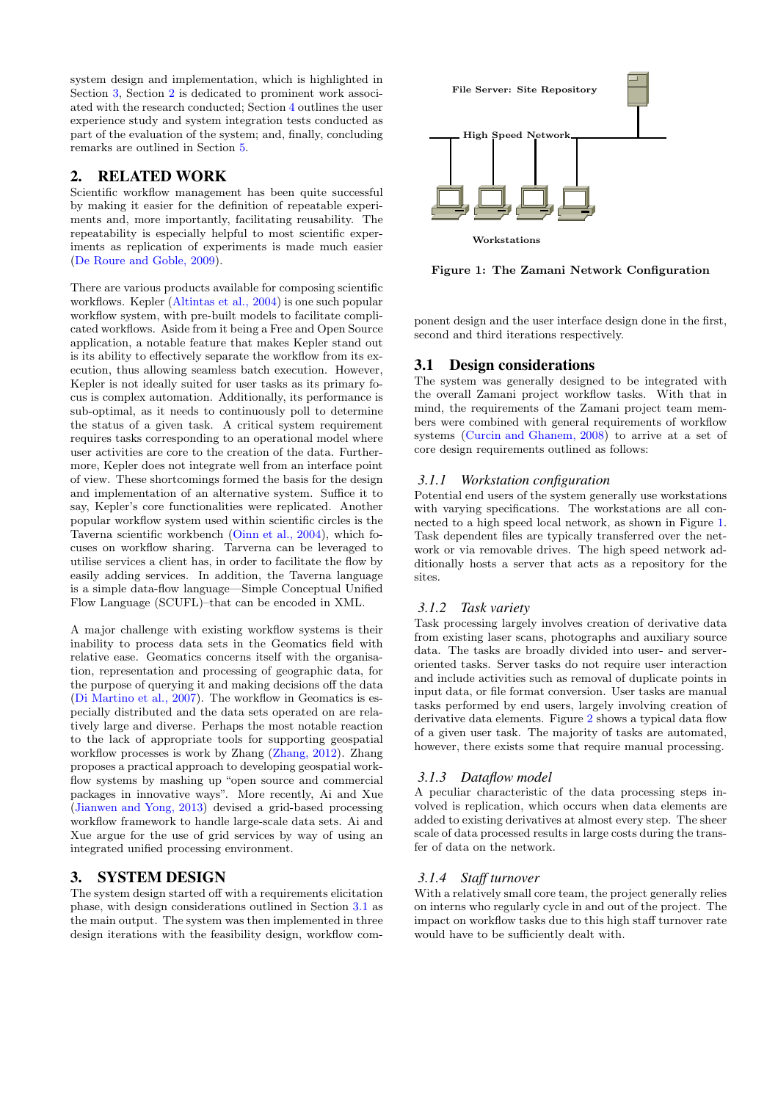system design and implementation, which is highlighted in Section 3, Section 2 is dedicated to prominent work associated with the research conducted; Section [4](#page-3-0) outlines the user experience study and system integration tests conducted as part of the evaluation of the system; and, finally, concluding remarks are outlined in Section [5.](#page-6-0)

# 2. RELATED WORK

Scientific workflow management has been quite successful by making it easier for the definition of repeatable experiments and, more importantly, facilitating reusability. The repeatability is especially helpful to most scientific experiments as replication of experiments is made much easier [\(De Roure and Goble, 2009](#page-7-0)).

There are various products available for composing scientific workflows. Kepler [\(Altintas et al., 2004\)](#page-6-0) is one such popular workflow system, with pre-built models to facilitate complicated workflows. Aside from it being a Free and Open Source application, a notable feature that makes Kepler stand out is its ability to effectively separate the workflow from its execution, thus allowing seamless batch execution. However, Kepler is not ideally suited for user tasks as its primary focus is complex automation. Additionally, its performance is sub-optimal, as it needs to continuously poll to determine the status of a given task. A critical system requirement requires tasks corresponding to an operational model where user activities are core to the creation of the data. Furthermore, Kepler does not integrate well from an interface point of view. These shortcomings formed the basis for the design and implementation of an alternative system. Suffice it to say, Kepler's core functionalities were replicated. Another popular workflow system used within scientific circles is the Taverna scientific workbench [\(Oinn et al., 2004\)](#page-7-0), which focuses on workflow sharing. Tarverna can be leveraged to utilise services a client has, in order to facilitate the flow by easily adding services. In addition, the Taverna language is a simple data-flow language—Simple Conceptual Unified Flow Language (SCUFL)–that can be encoded in XML.

A major challenge with existing workflow systems is their inability to process data sets in the Geomatics field with relative ease. Geomatics concerns itself with the organisation, representation and processing of geographic data, for the purpose of querying it and making decisions off the data [\(Di Martino et al., 2007](#page-7-0)). The workflow in Geomatics is especially distributed and the data sets operated on are relatively large and diverse. Perhaps the most notable reaction to the lack of appropriate tools for supporting geospatial workflow processes is work by Zhang [\(Zhang, 2012\)](#page-7-0). Zhang proposes a practical approach to developing geospatial workflow systems by mashing up "open source and commercial packages in innovative ways". More recently, Ai and Xue [\(Jianwen and Yong, 2013](#page-7-0)) devised a grid-based processing workflow framework to handle large-scale data sets. Ai and Xue argue for the use of grid services by way of using an integrated unified processing environment.

### 3. SYSTEM DESIGN

The system design started off with a requirements elicitation phase, with design considerations outlined in Section 3.1 as the main output. The system was then implemented in three design iterations with the feasibility design, workflow com-



Figure 1: The Zamani Network Configuration

ponent design and the user interface design done in the first, second and third iterations respectively.

### 3.1 Design considerations

The system was generally designed to be integrated with the overall Zamani project workflow tasks. With that in mind, the requirements of the Zamani project team members were combined with general requirements of workflow systems [\(Curcin and Ghanem, 2008](#page-7-0)) to arrive at a set of core design requirements outlined as follows:

### *3.1.1 Workstation configuration*

Potential end users of the system generally use workstations with varying specifications. The workstations are all connected to a high speed local network, as shown in Figure 1. Task dependent files are typically transferred over the network or via removable drives. The high speed network additionally hosts a server that acts as a repository for the sites.

### *3.1.2 Task variety*

Task processing largely involves creation of derivative data from existing laser scans, photographs and auxiliary source data. The tasks are broadly divided into user- and serveroriented tasks. Server tasks do not require user interaction and include activities such as removal of duplicate points in input data, or file format conversion. User tasks are manual tasks performed by end users, largely involving creation of derivative data elements. Figure [2](#page-2-0) shows a typical data flow of a given user task. The majority of tasks are automated, however, there exists some that require manual processing.

### *3.1.3 Dataflow model*

A peculiar characteristic of the data processing steps involved is replication, which occurs when data elements are added to existing derivatives at almost every step. The sheer scale of data processed results in large costs during the transfer of data on the network.

# *3.1.4 Staff turnover*

With a relatively small core team, the project generally relies on interns who regularly cycle in and out of the project. The impact on workflow tasks due to this high staff turnover rate would have to be sufficiently dealt with.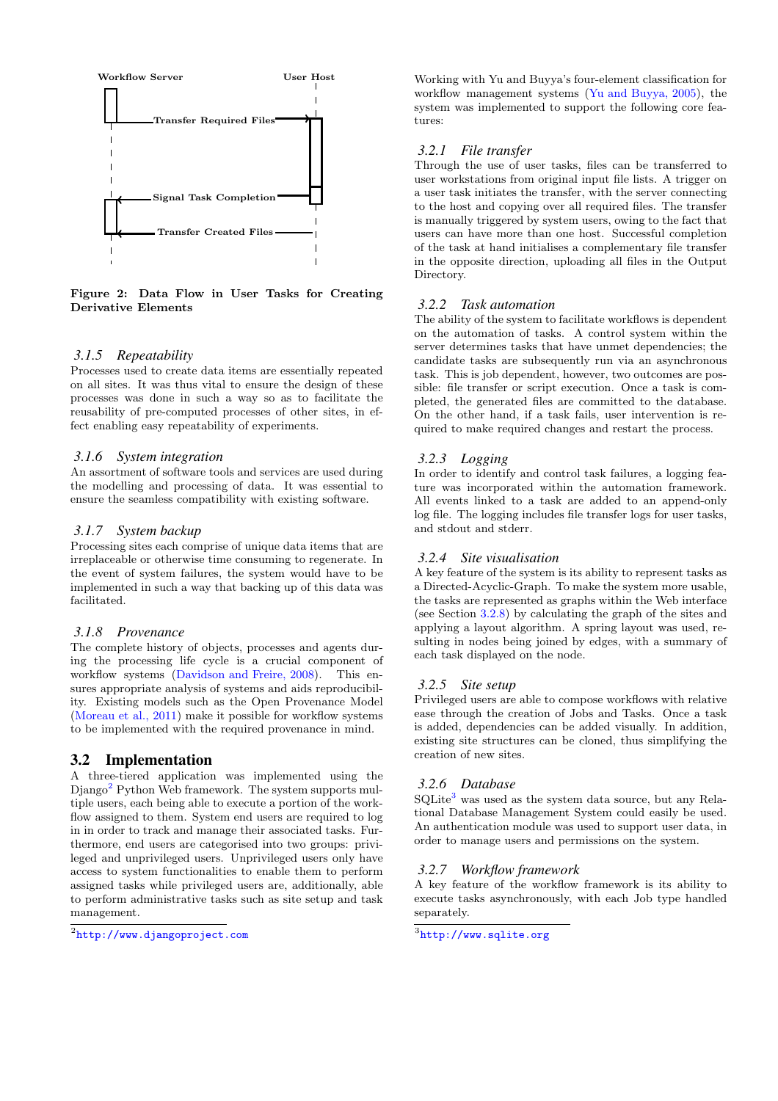<span id="page-2-0"></span>

Figure 2: Data Flow in User Tasks for Creating Derivative Elements

#### *3.1.5 Repeatability*

Processes used to create data items are essentially repeated on all sites. It was thus vital to ensure the design of these processes was done in such a way so as to facilitate the reusability of pre-computed processes of other sites, in effect enabling easy repeatability of experiments.

#### *3.1.6 System integration*

An assortment of software tools and services are used during the modelling and processing of data. It was essential to ensure the seamless compatibility with existing software.

#### *3.1.7 System backup*

Processing sites each comprise of unique data items that are irreplaceable or otherwise time consuming to regenerate. In the event of system failures, the system would have to be implemented in such a way that backing up of this data was facilitated.

# *3.1.8 Provenance*

The complete history of objects, processes and agents during the processing life cycle is a crucial component of workflow systems [\(Davidson and Freire, 2008](#page-7-0)). This ensures appropriate analysis of systems and aids reproducibility. Existing models such as the Open Provenance Model [\(Moreau et al., 2011](#page-7-0)) make it possible for workflow systems to be implemented with the required provenance in mind.

### 3.2 Implementation

A three-tiered application was implemented using the Diango<sup>2</sup> Python Web framework. The system supports multiple users, each being able to execute a portion of the workflow assigned to them. System end users are required to log in in order to track and manage their associated tasks. Furthermore, end users are categorised into two groups: privileged and unprivileged users. Unprivileged users only have access to system functionalities to enable them to perform assigned tasks while privileged users are, additionally, able to perform administrative tasks such as site setup and task management.

Working with Yu and Buyya's four-element classification for workflow management systems [\(Yu and Buyya, 2005\)](#page-7-0), the system was implemented to support the following core features:

#### *3.2.1 File transfer*

Through the use of user tasks, files can be transferred to user workstations from original input file lists. A trigger on a user task initiates the transfer, with the server connecting to the host and copying over all required files. The transfer is manually triggered by system users, owing to the fact that users can have more than one host. Successful completion of the task at hand initialises a complementary file transfer in the opposite direction, uploading all files in the Output Directory.

#### *3.2.2 Task automation*

The ability of the system to facilitate workflows is dependent on the automation of tasks. A control system within the server determines tasks that have unmet dependencies; the candidate tasks are subsequently run via an asynchronous task. This is job dependent, however, two outcomes are possible: file transfer or script execution. Once a task is completed, the generated files are committed to the database. On the other hand, if a task fails, user intervention is required to make required changes and restart the process.

#### *3.2.3 Logging*

In order to identify and control task failures, a logging feature was incorporated within the automation framework. All events linked to a task are added to an append-only log file. The logging includes file transfer logs for user tasks, and stdout and stderr.

#### *3.2.4 Site visualisation*

A key feature of the system is its ability to represent tasks as a Directed-Acyclic-Graph. To make the system more usable, the tasks are represented as graphs within the Web interface (see Section [3.2.8\)](#page-3-0) by calculating the graph of the sites and applying a layout algorithm. A spring layout was used, resulting in nodes being joined by edges, with a summary of each task displayed on the node.

### *3.2.5 Site setup*

Privileged users are able to compose workflows with relative ease through the creation of Jobs and Tasks. Once a task is added, dependencies can be added visually. In addition, existing site structures can be cloned, thus simplifying the creation of new sites.

#### *3.2.6 Database*

 ${\rm SQLite^3}$  was used as the system data source, but any Relational Database Management System could easily be used. An authentication module was used to support user data, in order to manage users and permissions on the system.

#### *3.2.7 Workflow framework*

A key feature of the workflow framework is its ability to execute tasks asynchronously, with each Job type handled separately.

<sup>2</sup> <http://www.djangoproject.com>

 $^3$ <http://www.sqlite.org>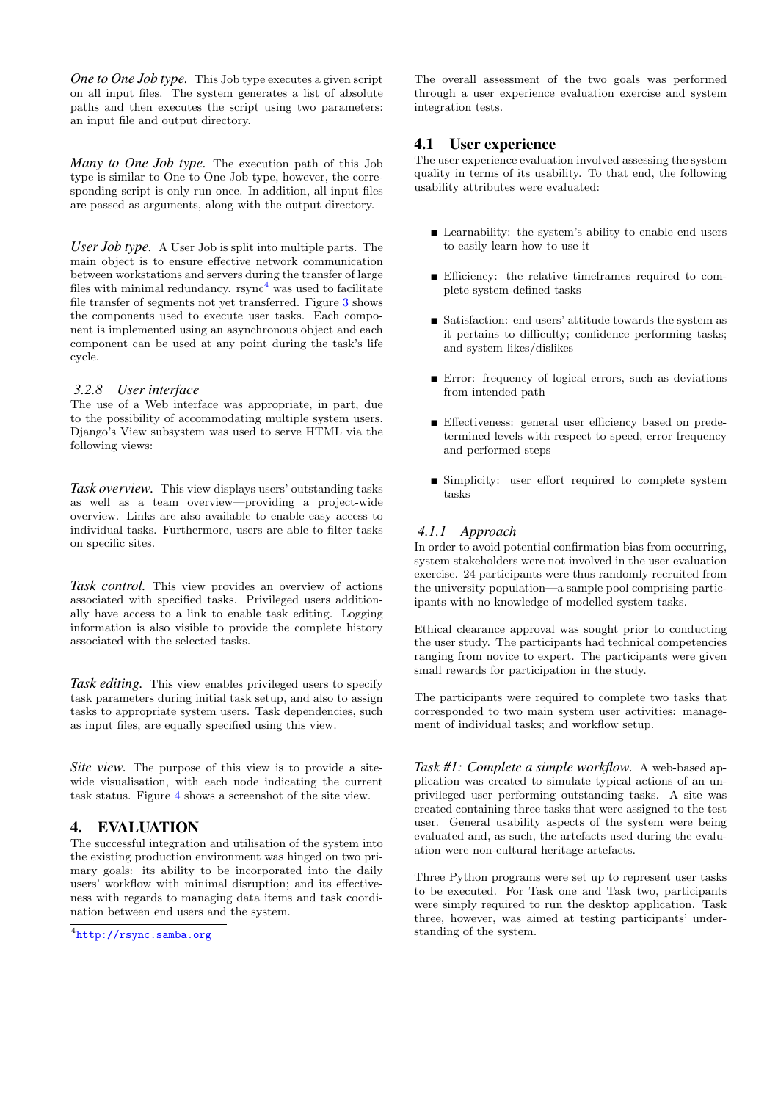<span id="page-3-0"></span>*One to One Job type.* This Job type executes a given script on all input files. The system generates a list of absolute paths and then executes the script using two parameters: an input file and output directory.

*Many to One Job type.* The execution path of this Job type is similar to One to One Job type, however, the corresponding script is only run once. In addition, all input files are passed as arguments, along with the output directory.

*User Job type.* A User Job is split into multiple parts. The main object is to ensure effective network communication between workstations and servers during the transfer of large files with minimal redundancy.  $\text{rsync}^4$  was used to facilitate file transfer of segments not yet transferred. Figure [3](#page-4-0) shows the components used to execute user tasks. Each component is implemented using an asynchronous object and each component can be used at any point during the task's life cycle.

### *3.2.8 User interface*

The use of a Web interface was appropriate, in part, due to the possibility of accommodating multiple system users. Django's View subsystem was used to serve HTML via the following views:

*Task overview.* This view displays users' outstanding tasks as well as a team overview—providing a project-wide overview. Links are also available to enable easy access to individual tasks. Furthermore, users are able to filter tasks on specific sites.

*Task control.* This view provides an overview of actions associated with specified tasks. Privileged users additionally have access to a link to enable task editing. Logging information is also visible to provide the complete history associated with the selected tasks.

*Task editing.* This view enables privileged users to specify task parameters during initial task setup, and also to assign tasks to appropriate system users. Task dependencies, such as input files, are equally specified using this view.

*Site view.* The purpose of this view is to provide a sitewide visualisation, with each node indicating the current task status. Figure [4](#page-4-0) shows a screenshot of the site view.

# 4. EVALUATION

The successful integration and utilisation of the system into the existing production environment was hinged on two primary goals: its ability to be incorporated into the daily users' workflow with minimal disruption; and its effectiveness with regards to managing data items and task coordination between end users and the system.

The overall assessment of the two goals was performed through a user experience evaluation exercise and system integration tests.

# 4.1 User experience

The user experience evaluation involved assessing the system quality in terms of its usability. To that end, the following usability attributes were evaluated:

- Learnability: the system's ability to enable end users to easily learn how to use it
- Efficiency: the relative timeframes required to complete system-defined tasks
- $\blacksquare$  Satisfaction: end users' attitude towards the system as it pertains to difficulty; confidence performing tasks; and system likes/dislikes
- Error: frequency of logical errors, such as deviations from intended path
- Effectiveness: general user efficiency based on predetermined levels with respect to speed, error frequency and performed steps
- **Simplicity:** user effort required to complete system tasks

# *4.1.1 Approach*

In order to avoid potential confirmation bias from occurring, system stakeholders were not involved in the user evaluation exercise. 24 participants were thus randomly recruited from the university population—a sample pool comprising participants with no knowledge of modelled system tasks.

Ethical clearance approval was sought prior to conducting the user study. The participants had technical competencies ranging from novice to expert. The participants were given small rewards for participation in the study.

The participants were required to complete two tasks that corresponded to two main system user activities: management of individual tasks; and workflow setup.

*Task #1: Complete a simple workflow.* A web-based application was created to simulate typical actions of an unprivileged user performing outstanding tasks. A site was created containing three tasks that were assigned to the test user. General usability aspects of the system were being evaluated and, as such, the artefacts used during the evaluation were non-cultural heritage artefacts.

Three Python programs were set up to represent user tasks to be executed. For Task one and Task two, participants were simply required to run the desktop application. Task three, however, was aimed at testing participants' understanding of the system.

<sup>4</sup> <http://rsync.samba.org>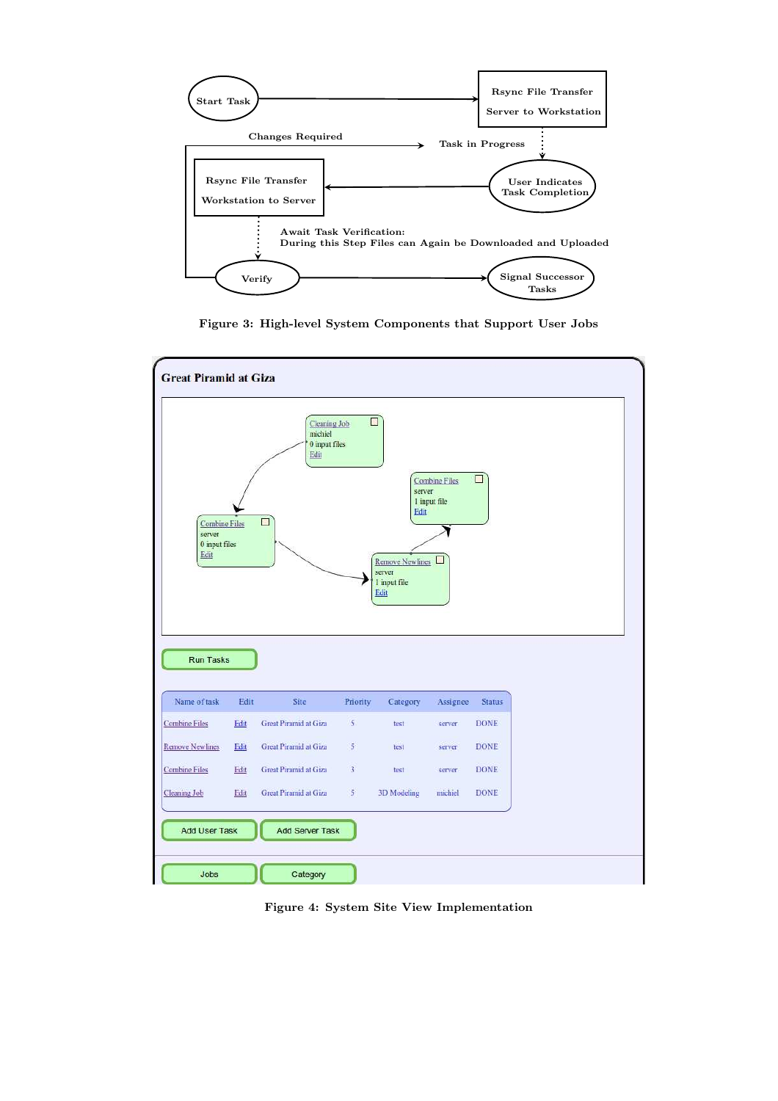<span id="page-4-0"></span>

Figure 3: High-level System Components that Support User Jobs



Figure 4: System Site View Implementation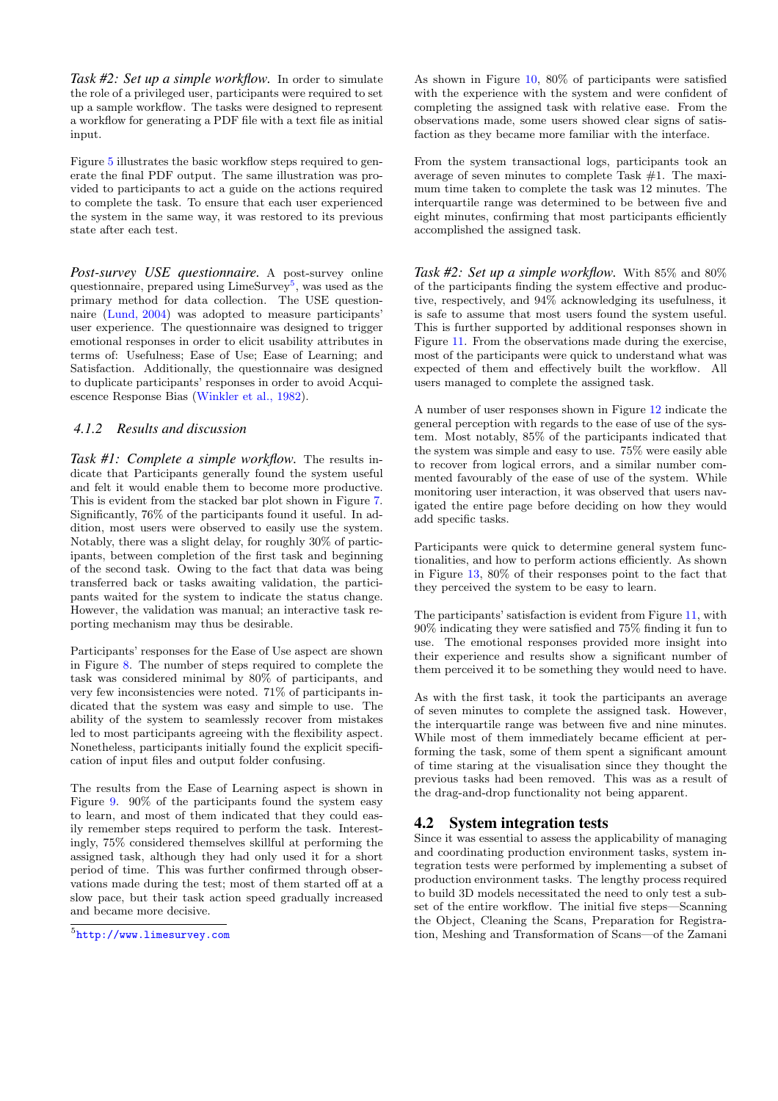*Task #2: Set up a simple workflow.* In order to simulate the role of a privileged user, participants were required to set up a sample workflow. The tasks were designed to represent a workflow for generating a PDF file with a text file as initial input.

Figure [5](#page-6-0) illustrates the basic workflow steps required to generate the final PDF output. The same illustration was provided to participants to act a guide on the actions required to complete the task. To ensure that each user experienced the system in the same way, it was restored to its previous state after each test.

*Post-survey USE questionnaire.* A post-survey online questionnaire, prepared using LimeSurvey<sup>5</sup>, was used as the primary method for data collection. The USE questionnaire [\(Lund, 2004](#page-7-0)) was adopted to measure participants' user experience. The questionnaire was designed to trigger emotional responses in order to elicit usability attributes in terms of: Usefulness; Ease of Use; Ease of Learning; and Satisfaction. Additionally, the questionnaire was designed to duplicate participants' responses in order to avoid Acquiescence Response Bias [\(Winkler et al., 1982](#page-7-0)).

# *4.1.2 Results and discussion*

*Task #1: Complete a simple workflow.* The results indicate that Participants generally found the system useful and felt it would enable them to become more productive. This is evident from the stacked bar plot shown in Figure [7.](#page-8-0) Significantly, 76% of the participants found it useful. In addition, most users were observed to easily use the system. Notably, there was a slight delay, for roughly 30% of participants, between completion of the first task and beginning of the second task. Owing to the fact that data was being transferred back or tasks awaiting validation, the participants waited for the system to indicate the status change. However, the validation was manual; an interactive task reporting mechanism may thus be desirable.

Participants' responses for the Ease of Use aspect are shown in Figure [8.](#page-8-0) The number of steps required to complete the task was considered minimal by 80% of participants, and very few inconsistencies were noted. 71% of participants indicated that the system was easy and simple to use. The ability of the system to seamlessly recover from mistakes led to most participants agreeing with the flexibility aspect. Nonetheless, participants initially found the explicit specification of input files and output folder confusing.

The results from the Ease of Learning aspect is shown in Figure [9.](#page-8-0) 90% of the participants found the system easy to learn, and most of them indicated that they could easily remember steps required to perform the task. Interestingly, 75% considered themselves skillful at performing the assigned task, although they had only used it for a short period of time. This was further confirmed through observations made during the test; most of them started off at a slow pace, but their task action speed gradually increased and became more decisive.

As shown in Figure [10,](#page-8-0) 80% of participants were satisfied with the experience with the system and were confident of completing the assigned task with relative ease. From the observations made, some users showed clear signs of satisfaction as they became more familiar with the interface.

From the system transactional logs, participants took an average of seven minutes to complete Task #1. The maximum time taken to complete the task was 12 minutes. The interquartile range was determined to be between five and eight minutes, confirming that most participants efficiently accomplished the assigned task.

*Task #2: Set up a simple workflow.* With 85% and 80% of the participants finding the system effective and productive, respectively, and 94% acknowledging its usefulness, it is safe to assume that most users found the system useful. This is further supported by additional responses shown in Figure [11.](#page-9-0) From the observations made during the exercise, most of the participants were quick to understand what was expected of them and effectively built the workflow. All users managed to complete the assigned task.

A number of user responses shown in Figure [12](#page-9-0) indicate the general perception with regards to the ease of use of the system. Most notably, 85% of the participants indicated that the system was simple and easy to use. 75% were easily able to recover from logical errors, and a similar number commented favourably of the ease of use of the system. While monitoring user interaction, it was observed that users navigated the entire page before deciding on how they would add specific tasks.

Participants were quick to determine general system functionalities, and how to perform actions efficiently. As shown in Figure [13,](#page-9-0) 80% of their responses point to the fact that they perceived the system to be easy to learn.

The participants' satisfaction is evident from Figure [11,](#page-9-0) with 90% indicating they were satisfied and 75% finding it fun to use. The emotional responses provided more insight into their experience and results show a significant number of them perceived it to be something they would need to have.

As with the first task, it took the participants an average of seven minutes to complete the assigned task. However, the interquartile range was between five and nine minutes. While most of them immediately became efficient at performing the task, some of them spent a significant amount of time staring at the visualisation since they thought the previous tasks had been removed. This was as a result of the drag-and-drop functionality not being apparent.

# 4.2 System integration tests

Since it was essential to assess the applicability of managing and coordinating production environment tasks, system integration tests were performed by implementing a subset of production environment tasks. The lengthy process required to build 3D models necessitated the need to only test a subset of the entire workflow. The initial five steps—Scanning the Object, Cleaning the Scans, Preparation for Registration, Meshing and Transformation of Scans—of the Zamani

<sup>5</sup> <http://www.limesurvey.com>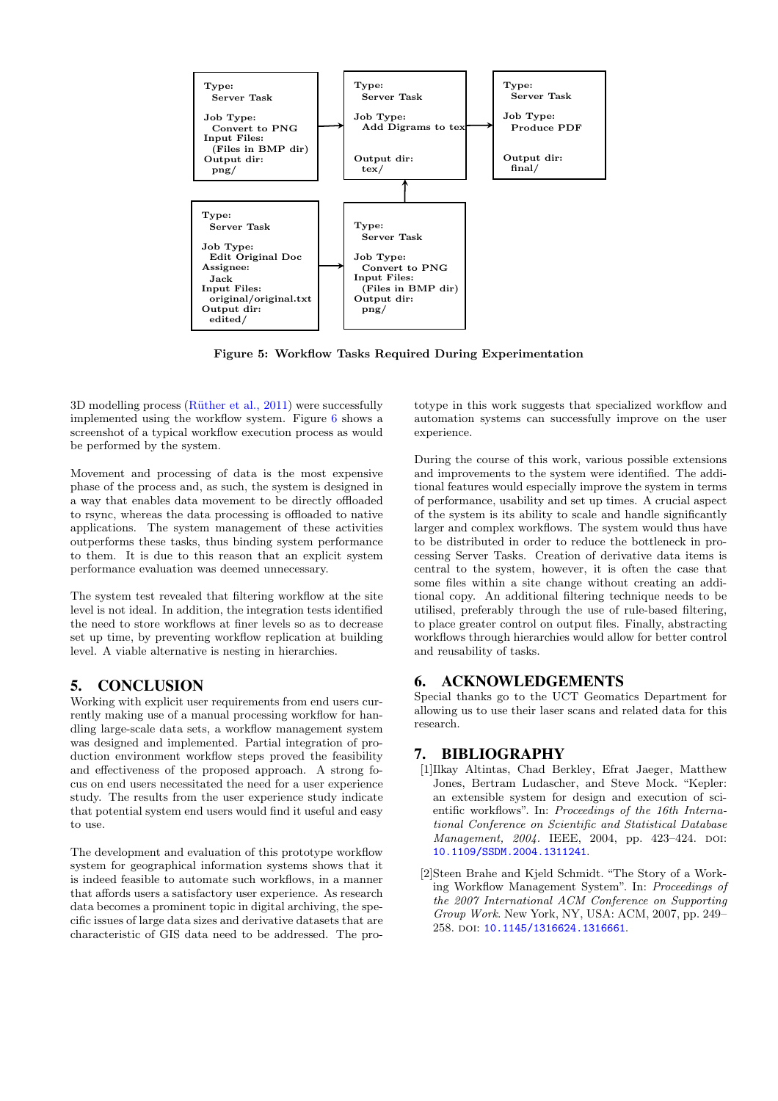<span id="page-6-0"></span>

Figure 5: Workflow Tasks Required During Experimentation

 $3D$  modelling process (Rüther et al.,  $2011$ ) were successfully implemented using the workflow system. Figure [6](#page-7-0) shows a screenshot of a typical workflow execution process as would be performed by the system.

Movement and processing of data is the most expensive phase of the process and, as such, the system is designed in a way that enables data movement to be directly offloaded to rsync, whereas the data processing is offloaded to native applications. The system management of these activities outperforms these tasks, thus binding system performance to them. It is due to this reason that an explicit system performance evaluation was deemed unnecessary.

The system test revealed that filtering workflow at the site level is not ideal. In addition, the integration tests identified the need to store workflows at finer levels so as to decrease set up time, by preventing workflow replication at building level. A viable alternative is nesting in hierarchies.

# 5. CONCLUSION

Working with explicit user requirements from end users currently making use of a manual processing workflow for handling large-scale data sets, a workflow management system was designed and implemented. Partial integration of production environment workflow steps proved the feasibility and effectiveness of the proposed approach. A strong focus on end users necessitated the need for a user experience study. The results from the user experience study indicate that potential system end users would find it useful and easy to use.

The development and evaluation of this prototype workflow system for geographical information systems shows that it is indeed feasible to automate such workflows, in a manner that affords users a satisfactory user experience. As research data becomes a prominent topic in digital archiving, the specific issues of large data sizes and derivative datasets that are characteristic of GIS data need to be addressed. The pro-

totype in this work suggests that specialized workflow and automation systems can successfully improve on the user experience.

During the course of this work, various possible extensions and improvements to the system were identified. The additional features would especially improve the system in terms of performance, usability and set up times. A crucial aspect of the system is its ability to scale and handle significantly larger and complex workflows. The system would thus have to be distributed in order to reduce the bottleneck in processing Server Tasks. Creation of derivative data items is central to the system, however, it is often the case that some files within a site change without creating an additional copy. An additional filtering technique needs to be utilised, preferably through the use of rule-based filtering, to place greater control on output files. Finally, abstracting workflows through hierarchies would allow for better control and reusability of tasks.

# 6. ACKNOWLEDGEMENTS

Special thanks go to the UCT Geomatics Department for allowing us to use their laser scans and related data for this research.

# 7. BIBLIOGRAPHY

- [1]Ilkay Altintas, Chad Berkley, Efrat Jaeger, Matthew Jones, Bertram Ludascher, and Steve Mock. "Kepler: an extensible system for design and execution of scientific workflows". In: *Proceedings of the 16th International Conference on Scientific and Statistical Database Management, 2004.* IEEE, 2004, pp. 423-424. DOI: [10.1109/SSDM.2004.1311241](http://dx.doi.org/10.1109/SSDM.2004.1311241).
- [2]Steen Brahe and Kjeld Schmidt. "The Story of a Working Workflow Management System". In: *Proceedings of the 2007 International ACM Conference on Supporting Group Work*. New York, NY, USA: ACM, 2007, pp. 249– 258. DOI: [10.1145/1316624.1316661](http://dx.doi.org/10.1145/1316624.1316661).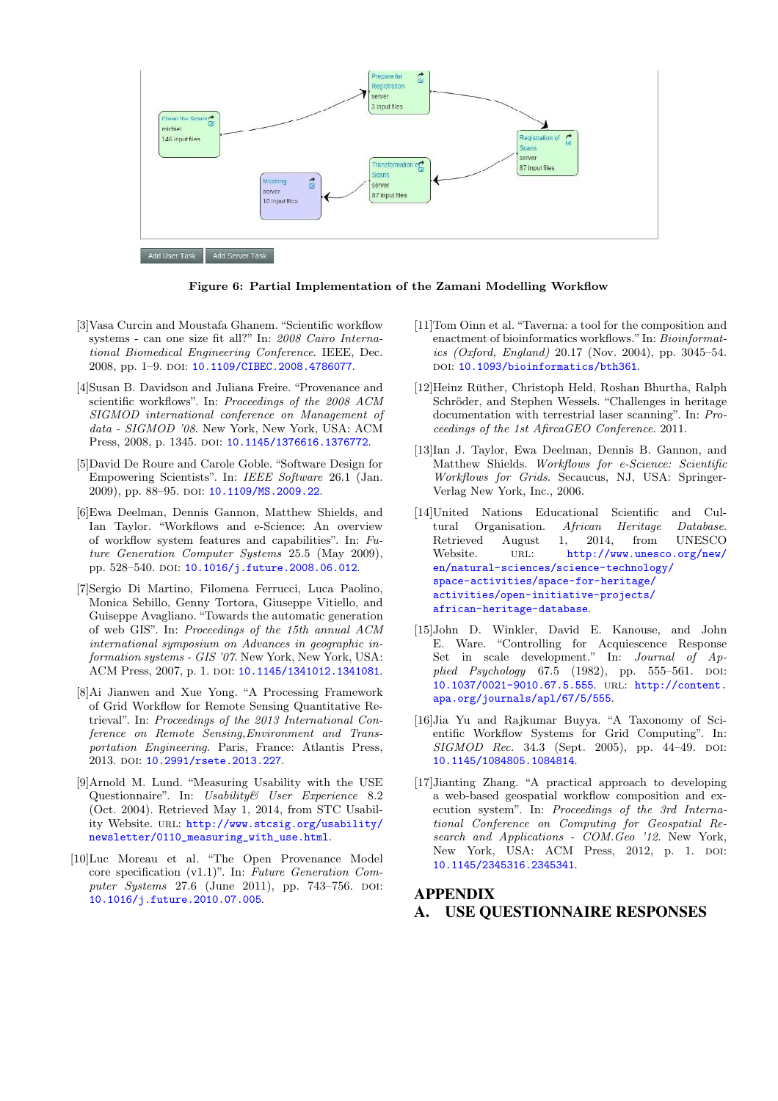<span id="page-7-0"></span>

Figure 6: Partial Implementation of the Zamani Modelling Workflow

- [3]Vasa Curcin and Moustafa Ghanem. "Scientific workflow systems - can one size fit all?" In: *2008 Cairo International Biomedical Engineering Conference*. IEEE, Dec. 2008, pp. 1–9. doi: [10.1109/CIBEC.2008.4786077](http://dx.doi.org/10.1109/CIBEC.2008.4786077).
- [4]Susan B. Davidson and Juliana Freire. "Provenance and scientific workflows". In: *Proceedings of the 2008 ACM SIGMOD international conference on Management of data - SIGMOD '08*. New York, New York, USA: ACM Press, 2008, p. 1345. doi: [10.1145/1376616.1376772](http://dx.doi.org/10.1145/1376616.1376772).
- [5]David De Roure and Carole Goble. "Software Design for Empowering Scientists". In: *IEEE Software* 26.1 (Jan. 2009), pp. 88–95. doi: [10.1109/MS.2009.22](http://dx.doi.org/10.1109/MS.2009.22).
- [6]Ewa Deelman, Dennis Gannon, Matthew Shields, and Ian Taylor. "Workflows and e-Science: An overview of workflow system features and capabilities". In: *Future Generation Computer Systems* 25.5 (May 2009), pp. 528-540. poi: [10.1016/j.future.2008.06.012](http://dx.doi.org/10.1016/j.future.2008.06.012).
- [7]Sergio Di Martino, Filomena Ferrucci, Luca Paolino, Monica Sebillo, Genny Tortora, Giuseppe Vitiello, and Guiseppe Avagliano. "Towards the automatic generation of web GIS". In: *Proceedings of the 15th annual ACM international symposium on Advances in geographic information systems - GIS '07*. New York, New York, USA: ACM Press, 2007, p. 1. DOI: [10.1145/1341012.1341081](http://dx.doi.org/10.1145/1341012.1341081).
- [8]Ai Jianwen and Xue Yong. "A Processing Framework of Grid Workflow for Remote Sensing Quantitative Retrieval". In: *Proceedings of the 2013 International Conference on Remote Sensing,Environment and Transportation Engineering*. Paris, France: Atlantis Press, 2013. DOI: [10.2991/rsete.2013.227](http://dx.doi.org/10.2991/rsete.2013.227).
- [9]Arnold M. Lund. "Measuring Usability with the USE Questionnaire". In: *Usability& User Experience* 8.2 (Oct. 2004). Retrieved May 1, 2014, from STC Usability Website. URL: [http://www.stcsig.org/usability/](http://www.stcsig.org/usability/newsletter/0110_measuring_with_use.html) [newsletter/0110\\_measuring\\_with\\_use.html](http://www.stcsig.org/usability/newsletter/0110_measuring_with_use.html).
- [10]Luc Moreau et al. "The Open Provenance Model core specification (v1.1)". In: *Future Generation Computer Systems* 27.6 (June 2011), pp. 743-756. DOI: [10.1016/j.future.2010.07.005](http://dx.doi.org/10.1016/j.future.2010.07.005).
- [11]Tom Oinn et al. "Taverna: a tool for the composition and enactment of bioinformatics workflows." In: *Bioinformatics (Oxford, England)* 20.17 (Nov. 2004), pp. 3045–54. DOI: [10.1093/bioinformatics/bth361](http://dx.doi.org/10.1093/bioinformatics/bth361).
- [12]Heinz Ruther, Christoph Held, Roshan Bhurtha, Ralph ¨ Schröder, and Stephen Wessels. "Challenges in heritage documentation with terrestrial laser scanning". In: *Proceedings of the 1st AfircaGEO Conference*. 2011.
- [13]Ian J. Taylor, Ewa Deelman, Dennis B. Gannon, and Matthew Shields. *Workflows for e-Science: Scientific Workflows for Grids*. Secaucus, NJ, USA: Springer-Verlag New York, Inc., 2006.
- [14]United Nations Educational Scientific and Cultural Organisation. *African Heritage Database*. Retrieved August 1, 2014, from UNESCO Website. URL: [http://www.unesco.org/new/](http://www.unesco.org/new/en/natural-sciences/science-technology/space-activities/space-for-heritage/activities/open-initiative-projects/african-heritage-database) [en/natural-sciences/science-technology/](http://www.unesco.org/new/en/natural-sciences/science-technology/space-activities/space-for-heritage/activities/open-initiative-projects/african-heritage-database) [space-activities/space-for-heritage/](http://www.unesco.org/new/en/natural-sciences/science-technology/space-activities/space-for-heritage/activities/open-initiative-projects/african-heritage-database) [activities/open-initiative-projects/](http://www.unesco.org/new/en/natural-sciences/science-technology/space-activities/space-for-heritage/activities/open-initiative-projects/african-heritage-database) [african-heritage-database](http://www.unesco.org/new/en/natural-sciences/science-technology/space-activities/space-for-heritage/activities/open-initiative-projects/african-heritage-database).
- [15]John D. Winkler, David E. Kanouse, and John E. Ware. "Controlling for Acquiescence Response Set in scale development." In: *Journal of Applied Psychology* 67.5 (1982), pp. 555–561. DOI: [10.1037/0021-9010.67.5.555](http://dx.doi.org/10.1037/0021-9010.67.5.555). url: [http://content.](http://content.apa.org/journals/apl/67/5/555) [apa.org/journals/apl/67/5/555](http://content.apa.org/journals/apl/67/5/555).
- [16]Jia Yu and Rajkumar Buyya. "A Taxonomy of Scientific Workflow Systems for Grid Computing". In: *SIGMOD Rec.* 34.3 (Sept. 2005), pp. 44–49. doi: [10.1145/1084805.1084814](http://dx.doi.org/10.1145/1084805.1084814).
- [17]Jianting Zhang. "A practical approach to developing a web-based geospatial workflow composition and execution system". In: *Proceedings of the 3rd International Conference on Computing for Geospatial Research and Applications - COM.Geo '12*. New York, New York, USA: ACM Press, 2012, p. 1. DOI: [10.1145/2345316.2345341](http://dx.doi.org/10.1145/2345316.2345341).

# APPENDIX A. USE QUESTIONNAIRE RESPONSES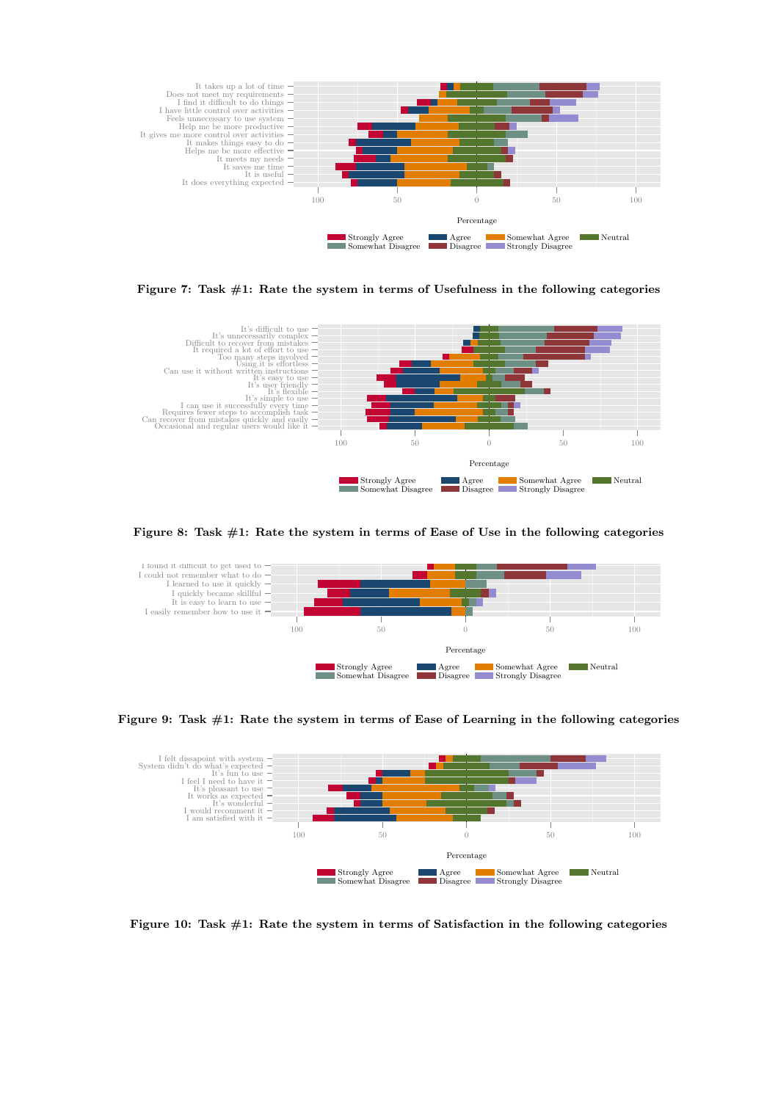<span id="page-8-0"></span>

Figure 7: Task  $\#1$ : Rate the system in terms of Usefulness in the following categories



Figure 8: Task #1: Rate the system in terms of Ease of Use in the following categories



Figure 9: Task #1: Rate the system in terms of Ease of Learning in the following categories



Figure 10: Task  $\#1$ : Rate the system in terms of Satisfaction in the following categories